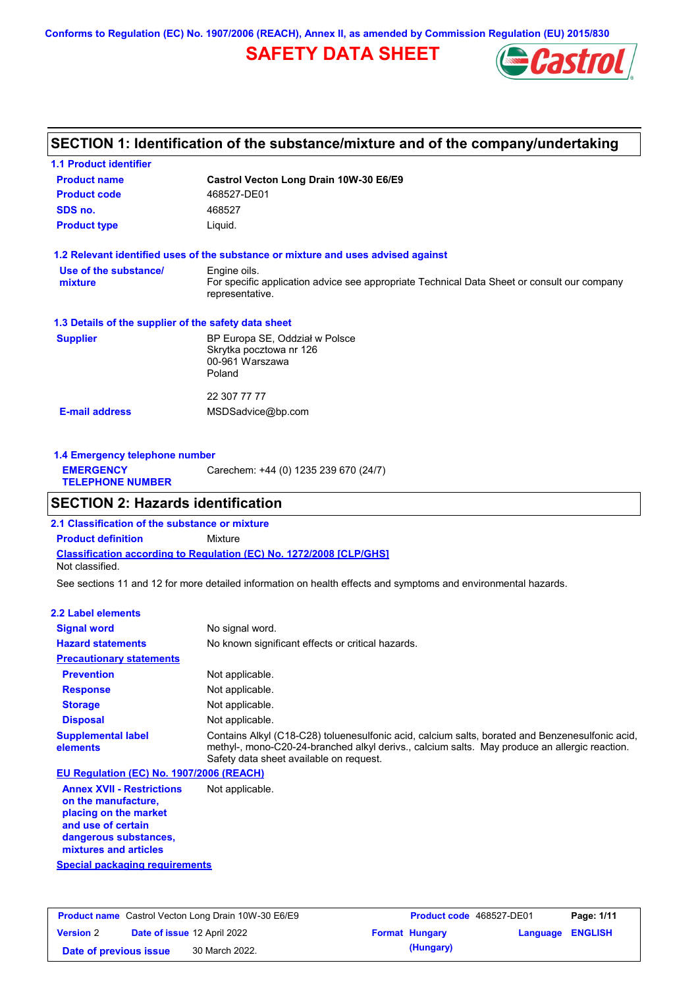**Conforms to Regulation (EC) No. 1907/2006 (REACH), Annex II, as amended by Commission Regulation (EU) 2015/830**

# **SAFETY DATA SHEET**



# **SECTION 1: Identification of the substance/mixture and of the company/undertaking**

| <b>1.1 Product identifier</b>                        |                                                                                                                |
|------------------------------------------------------|----------------------------------------------------------------------------------------------------------------|
| <b>Product name</b>                                  | Castrol Vecton Long Drain 10W-30 E6/E9                                                                         |
| <b>Product code</b>                                  | 468527-DE01                                                                                                    |
| SDS no.                                              | 468527                                                                                                         |
| <b>Product type</b>                                  | Liquid.                                                                                                        |
|                                                      | 1.2 Relevant identified uses of the substance or mixture and uses advised against                              |
| Use of the substance/                                | Engine oils.                                                                                                   |
| mixture                                              | For specific application advice see appropriate Technical Data Sheet or consult our company<br>representative. |
| 1.3 Details of the supplier of the safety data sheet |                                                                                                                |
| <b>Supplier</b>                                      | BP Europa SE, Oddział w Polsce<br>Skrytka pocztowa nr 126<br>00-961 Warszawa                                   |
|                                                      | Poland                                                                                                         |
|                                                      | 22 307 77 77                                                                                                   |
| <b>E-mail address</b>                                | MSDSadvice@bp.com                                                                                              |
|                                                      |                                                                                                                |
|                                                      |                                                                                                                |

| 1.4 Emergency telephone number              |                                       |  |
|---------------------------------------------|---------------------------------------|--|
| <b>EMERGENCY</b><br><b>TELEPHONE NUMBER</b> | Carechem: +44 (0) 1235 239 670 (24/7) |  |

# **SECTION 2: Hazards identification**

**Classification according to Regulation (EC) No. 1272/2008 [CLP/GHS] 2.1 Classification of the substance or mixture Product definition** Mixture Not classified.

See sections 11 and 12 for more detailed information on health effects and symptoms and environmental hazards.

### **2.2 Label elements**

| <b>Signal word</b>                       | No signal word.                                                                                                                                                                                                                             |
|------------------------------------------|---------------------------------------------------------------------------------------------------------------------------------------------------------------------------------------------------------------------------------------------|
| <b>Hazard statements</b>                 | No known significant effects or critical hazards.                                                                                                                                                                                           |
| <b>Precautionary statements</b>          |                                                                                                                                                                                                                                             |
| <b>Prevention</b>                        | Not applicable.                                                                                                                                                                                                                             |
| <b>Response</b>                          | Not applicable.                                                                                                                                                                                                                             |
| <b>Storage</b>                           | Not applicable.                                                                                                                                                                                                                             |
| <b>Disposal</b>                          | Not applicable.                                                                                                                                                                                                                             |
| <b>Supplemental label</b><br>elements    | Contains Alkyl (C18-C28) toluenesulfonic acid, calcium salts, borated and Benzenesulfonic acid,<br>methyl-, mono-C20-24-branched alkyl derivs., calcium salts. May produce an allergic reaction.<br>Safety data sheet available on request. |
| EU Regulation (EC) No. 1907/2006 (REACH) |                                                                                                                                                                                                                                             |
|                                          |                                                                                                                                                                                                                                             |

**Annex XVII - Restrictions on the manufacture, placing on the market and use of certain dangerous substances, mixtures and articles** Not applicable.

**Special packaging requirements**

| <b>Product name</b> Castrol Vecton Long Drain 10W-30 E6/E9 |  |                                    | <b>Product code</b> 468527-DE01 |                       | Page: 1/11       |  |
|------------------------------------------------------------|--|------------------------------------|---------------------------------|-----------------------|------------------|--|
| <b>Version 2</b>                                           |  | <b>Date of issue 12 April 2022</b> |                                 | <b>Format Hungary</b> | Language ENGLISH |  |
| Date of previous issue                                     |  | 30 March 2022.                     |                                 | (Hungary)             |                  |  |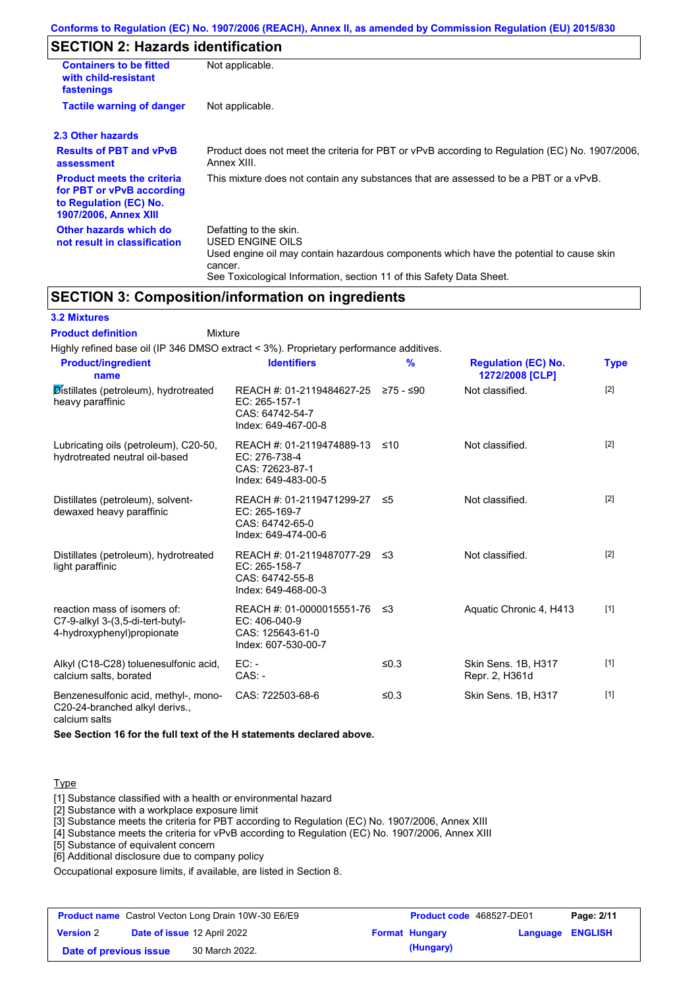# **SECTION 2: Hazards identification**

| <b>Containers to be fitted</b><br>with child-resistant<br>fastenings                                                     | Not applicable.                                                                                                                                                                                                          |  |
|--------------------------------------------------------------------------------------------------------------------------|--------------------------------------------------------------------------------------------------------------------------------------------------------------------------------------------------------------------------|--|
| <b>Tactile warning of danger</b><br>Not applicable.                                                                      |                                                                                                                                                                                                                          |  |
| 2.3 Other hazards                                                                                                        |                                                                                                                                                                                                                          |  |
| <b>Results of PBT and vPvB</b><br>assessment                                                                             | Product does not meet the criteria for PBT or vPvB according to Regulation (EC) No. 1907/2006.<br>Annex XIII.                                                                                                            |  |
| <b>Product meets the criteria</b><br>for PBT or vPvB according<br>to Regulation (EC) No.<br><b>1907/2006, Annex XIII</b> | This mixture does not contain any substances that are assessed to be a PBT or a vPvB.                                                                                                                                    |  |
| Other hazards which do<br>not result in classification                                                                   | Defatting to the skin.<br>USED ENGINE OILS<br>Used engine oil may contain hazardous components which have the potential to cause skin<br>cancer.<br>See Toxicological Information, section 11 of this Safety Data Sheet. |  |

# **SECTION 3: Composition/information on ingredients**

### **3.2 Mixtures**

Mixture **Product definition**

| Highly refined base oil (IP 346 DMSO extract < 3%). Proprietary performance additives.         |                                                                                                |               |                                               |             |
|------------------------------------------------------------------------------------------------|------------------------------------------------------------------------------------------------|---------------|-----------------------------------------------|-------------|
| <b>Product/ingredient</b><br>name                                                              | <b>Identifiers</b>                                                                             | $\frac{9}{6}$ | <b>Regulation (EC) No.</b><br>1272/2008 [CLP] | <b>Type</b> |
| Distillates (petroleum), hydrotreated<br>heavy paraffinic                                      | REACH #: 01-2119484627-25 ≥75 - ≤90<br>EC: 265-157-1<br>CAS: 64742-54-7<br>Index: 649-467-00-8 |               | Not classified.                               | $[2]$       |
| Lubricating oils (petroleum), C20-50,<br>hydrotreated neutral oil-based                        | REACH #: 01-2119474889-13<br>EC: 276-738-4<br>CAS: 72623-87-1<br>Index: 649-483-00-5           | ≤10           | Not classified.                               | $[2]$       |
| Distillates (petroleum), solvent-<br>dewaxed heavy paraffinic                                  | REACH #: 01-2119471299-27 ≤5<br>EC: 265-169-7<br>CAS: 64742-65-0<br>Index: 649-474-00-6        |               | Not classified.                               | $[2]$       |
| Distillates (petroleum), hydrotreated<br>light paraffinic                                      | REACH #: 01-2119487077-29<br>EC: 265-158-7<br>CAS: 64742-55-8<br>Index: 649-468-00-3           | -≤3           | Not classified.                               | $[2]$       |
| reaction mass of isomers of:<br>C7-9-alkyl 3-(3,5-di-tert-butyl-<br>4-hydroxyphenyl)propionate | REACH #: 01-0000015551-76<br>EC: 406-040-9<br>CAS: 125643-61-0<br>Index: 607-530-00-7          | ≤3            | Aquatic Chronic 4, H413                       | $[1]$       |
| Alkyl (C18-C28) toluenesulfonic acid,<br>calcium salts, borated                                | $EC: -$<br>$CAS: -$                                                                            | ≤0.3          | Skin Sens. 1B, H317<br>Repr. 2, H361d         | $[1]$       |
| Benzenesulfonic acid, methyl-, mono-<br>C20-24-branched alkyl derivs.,<br>calcium salts        | CAS: 722503-68-6                                                                               | ≤ $0.3$       | Skin Sens. 1B, H317                           | $[1]$       |

**See Section 16 for the full text of the H statements declared above.**

#### Type

[1] Substance classified with a health or environmental hazard

[2] Substance with a workplace exposure limit

[3] Substance meets the criteria for PBT according to Regulation (EC) No. 1907/2006, Annex XIII

[4] Substance meets the criteria for vPvB according to Regulation (EC) No. 1907/2006, Annex XIII

[5] Substance of equivalent concern

[6] Additional disclosure due to company policy

Occupational exposure limits, if available, are listed in Section 8.

|                        | <b>Product name</b> Castrol Vecton Long Drain 10W-30 E6/E9 | Product code 468527-DE01 |                         | Page: 2/11 |
|------------------------|------------------------------------------------------------|--------------------------|-------------------------|------------|
| <b>Version 2</b>       | <b>Date of issue 12 April 2022</b>                         | <b>Format Hungary</b>    | <b>Language ENGLISH</b> |            |
| Date of previous issue | 30 March 2022.                                             | (Hungary)                |                         |            |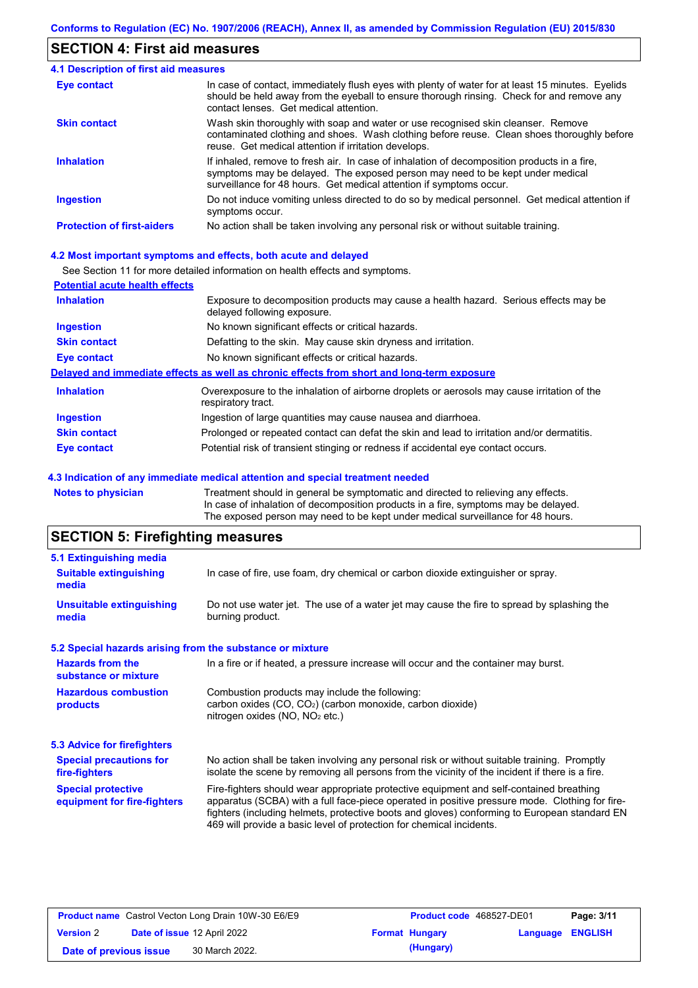# **SECTION 4: First aid measures**

| 4.1 Description of first aid measures |                                                                                                                                                                                                                                                     |
|---------------------------------------|-----------------------------------------------------------------------------------------------------------------------------------------------------------------------------------------------------------------------------------------------------|
| Eye contact                           | In case of contact, immediately flush eyes with plenty of water for at least 15 minutes. Eyelids<br>should be held away from the eyeball to ensure thorough rinsing. Check for and remove any<br>contact lenses. Get medical attention.             |
| <b>Skin contact</b>                   | Wash skin thoroughly with soap and water or use recognised skin cleanser. Remove<br>contaminated clothing and shoes. Wash clothing before reuse. Clean shoes thoroughly before<br>reuse. Get medical attention if irritation develops.              |
| <b>Inhalation</b>                     | If inhaled, remove to fresh air. In case of inhalation of decomposition products in a fire,<br>symptoms may be delayed. The exposed person may need to be kept under medical<br>surveillance for 48 hours. Get medical attention if symptoms occur. |
| <b>Ingestion</b>                      | Do not induce vomiting unless directed to do so by medical personnel. Get medical attention if<br>symptoms occur.                                                                                                                                   |
| <b>Protection of first-aiders</b>     | No action shall be taken involving any personal risk or without suitable training.                                                                                                                                                                  |

#### **4.2 Most important symptoms and effects, both acute and delayed**

See Section 11 for more detailed information on health effects and symptoms.

| <b>Potential acute health effects</b> |                                                                                                                     |
|---------------------------------------|---------------------------------------------------------------------------------------------------------------------|
| <b>Inhalation</b>                     | Exposure to decomposition products may cause a health hazard. Serious effects may be<br>delayed following exposure. |
| <b>Ingestion</b>                      | No known significant effects or critical hazards.                                                                   |
| <b>Skin contact</b>                   | Defatting to the skin. May cause skin dryness and irritation.                                                       |
| <b>Eye contact</b>                    | No known significant effects or critical hazards.                                                                   |
|                                       | Delayed and immediate effects as well as chronic effects from short and long-term exposure                          |
| <b>Inhalation</b>                     | Overexposure to the inhalation of airborne droplets or aerosols may cause irritation of the<br>respiratory tract.   |
| <b>Ingestion</b>                      | Ingestion of large quantities may cause nausea and diarrhoea.                                                       |
| <b>Skin contact</b>                   | Prolonged or repeated contact can defat the skin and lead to irritation and/or dermatitis.                          |
| Eye contact                           | Potential risk of transient stinging or redness if accidental eye contact occurs.                                   |
|                                       |                                                                                                                     |

#### **4.3 Indication of any immediate medical attention and special treatment needed**

**Notes to physician** Treatment should in general be symptomatic and directed to relieving any effects. In case of inhalation of decomposition products in a fire, symptoms may be delayed. The exposed person may need to be kept under medical surveillance for 48 hours.

# **SECTION 5: Firefighting measures**

| 5.1 Extinguishing media                                   |                                                                                                                                                                                                                                                                                                                                                                   |  |  |  |  |
|-----------------------------------------------------------|-------------------------------------------------------------------------------------------------------------------------------------------------------------------------------------------------------------------------------------------------------------------------------------------------------------------------------------------------------------------|--|--|--|--|
| <b>Suitable extinguishing</b><br>media                    | In case of fire, use foam, dry chemical or carbon dioxide extinguisher or spray.                                                                                                                                                                                                                                                                                  |  |  |  |  |
| <b>Unsuitable extinguishing</b><br>media                  | Do not use water jet. The use of a water jet may cause the fire to spread by splashing the<br>burning product.                                                                                                                                                                                                                                                    |  |  |  |  |
| 5.2 Special hazards arising from the substance or mixture |                                                                                                                                                                                                                                                                                                                                                                   |  |  |  |  |
| <b>Hazards from the</b><br>substance or mixture           | In a fire or if heated, a pressure increase will occur and the container may burst.                                                                                                                                                                                                                                                                               |  |  |  |  |
| <b>Hazardous combustion</b><br>products                   | Combustion products may include the following:<br>carbon oxides $(CO, CO2)$ (carbon monoxide, carbon dioxide)<br>nitrogen oxides ( $NO$ , $NO2$ etc.)                                                                                                                                                                                                             |  |  |  |  |
| 5.3 Advice for firefighters                               |                                                                                                                                                                                                                                                                                                                                                                   |  |  |  |  |
| <b>Special precautions for</b><br>fire-fighters           | No action shall be taken involving any personal risk or without suitable training. Promptly<br>isolate the scene by removing all persons from the vicinity of the incident if there is a fire.                                                                                                                                                                    |  |  |  |  |
| <b>Special protective</b><br>equipment for fire-fighters  | Fire-fighters should wear appropriate protective equipment and self-contained breathing<br>apparatus (SCBA) with a full face-piece operated in positive pressure mode. Clothing for fire-<br>fighters (including helmets, protective boots and gloves) conforming to European standard EN<br>469 will provide a basic level of protection for chemical incidents. |  |  |  |  |

| <b>Product name</b> Castrol Vecton Long Drain 10W-30 E6/E9 |  | <b>Product code</b> 468527-DE01 |  | Page: 3/11            |                         |  |
|------------------------------------------------------------|--|---------------------------------|--|-----------------------|-------------------------|--|
| <b>Version 2</b>                                           |  | Date of issue 12 April 2022     |  | <b>Format Hungary</b> | <b>Language ENGLISH</b> |  |
| Date of previous issue                                     |  | 30 March 2022.                  |  | (Hungary)             |                         |  |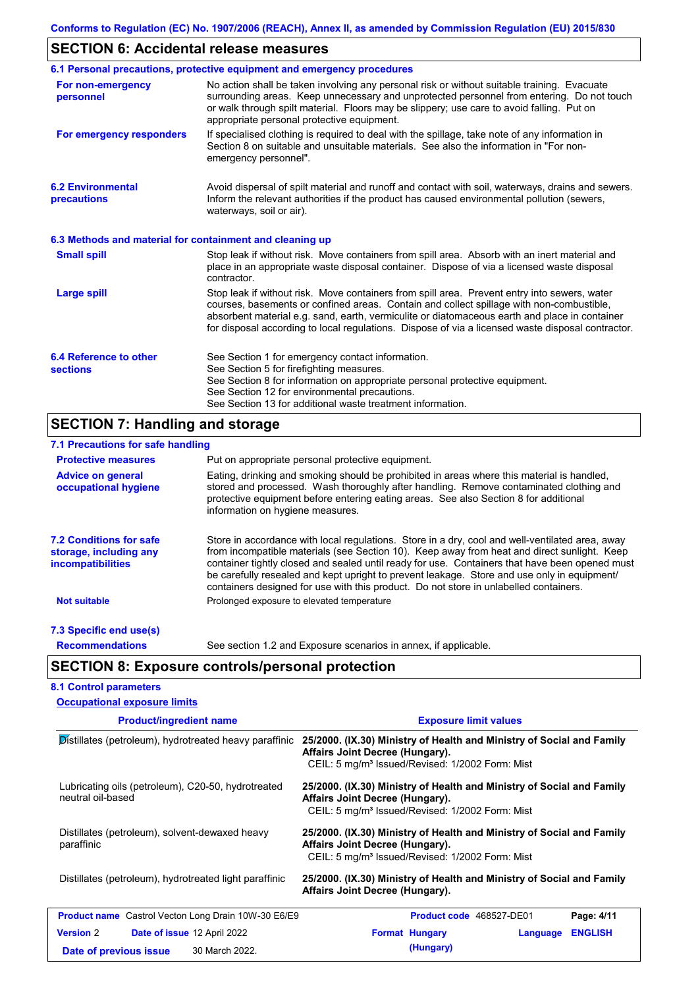# **SECTION 6: Accidental release measures**

|                                                          | 6.1 Personal precautions, protective equipment and emergency procedures                                                                                                                                                                                                                                                                                                                        |
|----------------------------------------------------------|------------------------------------------------------------------------------------------------------------------------------------------------------------------------------------------------------------------------------------------------------------------------------------------------------------------------------------------------------------------------------------------------|
| For non-emergency<br>personnel                           | No action shall be taken involving any personal risk or without suitable training. Evacuate<br>surrounding areas. Keep unnecessary and unprotected personnel from entering. Do not touch<br>or walk through spilt material. Floors may be slippery; use care to avoid falling. Put on<br>appropriate personal protective equipment.                                                            |
| For emergency responders                                 | If specialised clothing is required to deal with the spillage, take note of any information in<br>Section 8 on suitable and unsuitable materials. See also the information in "For non-<br>emergency personnel".                                                                                                                                                                               |
| <b>6.2 Environmental</b><br>precautions                  | Avoid dispersal of spilt material and runoff and contact with soil, waterways, drains and sewers.<br>Inform the relevant authorities if the product has caused environmental pollution (sewers,<br>waterways, soil or air).                                                                                                                                                                    |
| 6.3 Methods and material for containment and cleaning up |                                                                                                                                                                                                                                                                                                                                                                                                |
| <b>Small spill</b>                                       | Stop leak if without risk. Move containers from spill area. Absorb with an inert material and<br>place in an appropriate waste disposal container. Dispose of via a licensed waste disposal<br>contractor.                                                                                                                                                                                     |
| <b>Large spill</b>                                       | Stop leak if without risk. Move containers from spill area. Prevent entry into sewers, water<br>courses, basements or confined areas. Contain and collect spillage with non-combustible,<br>absorbent material e.g. sand, earth, vermiculite or diatomaceous earth and place in container<br>for disposal according to local regulations. Dispose of via a licensed waste disposal contractor. |
| 6.4 Reference to other<br><b>sections</b>                | See Section 1 for emergency contact information.<br>See Section 5 for firefighting measures.<br>See Section 8 for information on appropriate personal protective equipment.<br>See Section 12 for environmental precautions.<br>See Section 13 for additional waste treatment information.                                                                                                     |

# **SECTION 7: Handling and storage**

| 7.1 Precautions for safe handling                                                    |                                                                                                                                                                                                                                                                                                                                                                                                                                                                                          |
|--------------------------------------------------------------------------------------|------------------------------------------------------------------------------------------------------------------------------------------------------------------------------------------------------------------------------------------------------------------------------------------------------------------------------------------------------------------------------------------------------------------------------------------------------------------------------------------|
| <b>Protective measures</b>                                                           | Put on appropriate personal protective equipment.                                                                                                                                                                                                                                                                                                                                                                                                                                        |
| <b>Advice on general</b><br>occupational hygiene                                     | Eating, drinking and smoking should be prohibited in areas where this material is handled,<br>stored and processed. Wash thoroughly after handling. Remove contaminated clothing and<br>protective equipment before entering eating areas. See also Section 8 for additional<br>information on hygiene measures.                                                                                                                                                                         |
| <b>7.2 Conditions for safe</b><br>storage, including any<br><i>incompatibilities</i> | Store in accordance with local regulations. Store in a dry, cool and well-ventilated area, away<br>from incompatible materials (see Section 10). Keep away from heat and direct sunlight. Keep<br>container tightly closed and sealed until ready for use. Containers that have been opened must<br>be carefully resealed and kept upright to prevent leakage. Store and use only in equipment/<br>containers designed for use with this product. Do not store in unlabelled containers. |
| <b>Not suitable</b>                                                                  | Prolonged exposure to elevated temperature                                                                                                                                                                                                                                                                                                                                                                                                                                               |
| 7.3 Specific end use(s)                                                              |                                                                                                                                                                                                                                                                                                                                                                                                                                                                                          |
| <b>Recommendations</b>                                                               | See section 1.2 and Exposure scenarios in annex, if applicable.                                                                                                                                                                                                                                                                                                                                                                                                                          |
|                                                                                      | <b>SECTION 8: Exposure controls/personal protection</b>                                                                                                                                                                                                                                                                                                                                                                                                                                  |
| <b>8.1 Control parameters</b>                                                        |                                                                                                                                                                                                                                                                                                                                                                                                                                                                                          |
| <b>Occupational exposure limits</b>                                                  |                                                                                                                                                                                                                                                                                                                                                                                                                                                                                          |

| <b>Product/ingredient name</b>                                                                     | <b>Exposure limit values</b>                                                                                                                                            |  |  |  |  |
|----------------------------------------------------------------------------------------------------|-------------------------------------------------------------------------------------------------------------------------------------------------------------------------|--|--|--|--|
| Distillates (petroleum), hydrotreated heavy paraffinic                                             | 25/2000. (IX.30) Ministry of Health and Ministry of Social and Family<br>Affairs Joint Decree (Hungary).<br>CEIL: 5 mg/m <sup>3</sup> Issued/Revised: 1/2002 Form: Mist |  |  |  |  |
| Lubricating oils (petroleum), C20-50, hydrotreated<br>neutral oil-based                            | 25/2000. (IX.30) Ministry of Health and Ministry of Social and Family<br>Affairs Joint Decree (Hungary).<br>CEIL: 5 mg/m <sup>3</sup> Issued/Revised: 1/2002 Form: Mist |  |  |  |  |
| Distillates (petroleum), solvent-dewaxed heavy<br>paraffinic                                       | 25/2000. (IX.30) Ministry of Health and Ministry of Social and Family<br>Affairs Joint Decree (Hungary).<br>CEIL: 5 mg/m <sup>3</sup> Issued/Revised: 1/2002 Form: Mist |  |  |  |  |
| Distillates (petroleum), hydrotreated light paraffinic                                             | 25/2000. (IX.30) Ministry of Health and Ministry of Social and Family<br>Affairs Joint Decree (Hungary).                                                                |  |  |  |  |
| <b>Product name</b> Castrol Vecton Long Drain 10W-30 E6/E9                                         | <b>Product code</b> 468527-DE01<br>Page: 4/11                                                                                                                           |  |  |  |  |
| <b>Version 2</b><br><b>Date of issue 12 April 2022</b><br>30 March 2022.<br>Date of previous issue | <b>ENGLISH</b><br><b>Format Hungary</b><br>Language<br>(Hungary)                                                                                                        |  |  |  |  |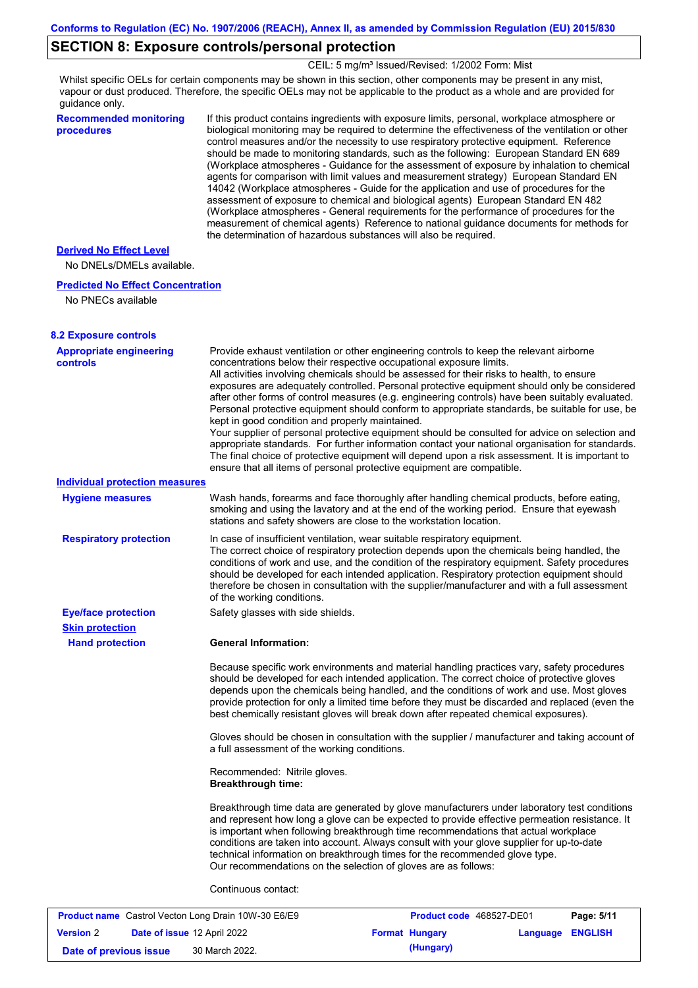## **SECTION 8: Exposure controls/personal protection**

CEIL: 5 mg/m<sup>3</sup> Issued/Revised: 1/2002 Form: Mist

Whilst specific OELs for certain components may be shown in this section, other components may be present in any mist, vapour or dust produced. Therefore, the specific OELs may not be applicable to the product as a whole and are provided for guidance only.

**Recommended monitoring procedures**

If this product contains ingredients with exposure limits, personal, workplace atmosphere or biological monitoring may be required to determine the effectiveness of the ventilation or other control measures and/or the necessity to use respiratory protective equipment. Reference should be made to monitoring standards, such as the following: European Standard EN 689 (Workplace atmospheres - Guidance for the assessment of exposure by inhalation to chemical agents for comparison with limit values and measurement strategy) European Standard EN 14042 (Workplace atmospheres - Guide for the application and use of procedures for the assessment of exposure to chemical and biological agents) European Standard EN 482 (Workplace atmospheres - General requirements for the performance of procedures for the measurement of chemical agents) Reference to national guidance documents for methods for the determination of hazardous substances will also be required.

### **Derived No Effect Level**

No DNELs/DMELs available.

#### **Predicted No Effect Concentration**

No PNECs available

| concentrations below their respective occupational exposure limits.<br>All activities involving chemicals should be assessed for their risks to health, to ensure<br>exposures are adequately controlled. Personal protective equipment should only be considered<br>after other forms of control measures (e.g. engineering controls) have been suitably evaluated.<br>Personal protective equipment should conform to appropriate standards, be suitable for use, be<br>kept in good condition and properly maintained.<br>Your supplier of personal protective equipment should be consulted for advice on selection and<br>appropriate standards. For further information contact your national organisation for standards.<br>The final choice of protective equipment will depend upon a risk assessment. It is important to<br>ensure that all items of personal protective equipment are compatible.<br><b>Individual protection measures</b><br>Wash hands, forearms and face thoroughly after handling chemical products, before eating,<br><b>Hygiene measures</b><br>smoking and using the lavatory and at the end of the working period. Ensure that eyewash<br>stations and safety showers are close to the workstation location.<br>In case of insufficient ventilation, wear suitable respiratory equipment.<br><b>Respiratory protection</b><br>The correct choice of respiratory protection depends upon the chemicals being handled, the<br>conditions of work and use, and the condition of the respiratory equipment. Safety procedures<br>should be developed for each intended application. Respiratory protection equipment should<br>therefore be chosen in consultation with the supplier/manufacturer and with a full assessment<br>of the working conditions.<br><b>Eye/face protection</b><br>Safety glasses with side shields.<br><b>Skin protection</b><br><b>General Information:</b><br><b>Hand protection</b><br>Because specific work environments and material handling practices vary, safety procedures<br>should be developed for each intended application. The correct choice of protective gloves<br>depends upon the chemicals being handled, and the conditions of work and use. Most gloves<br>provide protection for only a limited time before they must be discarded and replaced (even the<br>best chemically resistant gloves will break down after repeated chemical exposures).<br>Gloves should be chosen in consultation with the supplier / manufacturer and taking account of<br>a full assessment of the working conditions.<br>Recommended: Nitrile gloves.<br><b>Breakthrough time:</b><br>Breakthrough time data are generated by glove manufacturers under laboratory test conditions<br>and represent how long a glove can be expected to provide effective permeation resistance. It<br>is important when following breakthrough time recommendations that actual workplace<br>conditions are taken into account. Always consult with your glove supplier for up-to-date<br>technical information on breakthrough times for the recommended glove type.<br>Our recommendations on the selection of gloves are as follows:<br>Continuous contact:<br><b>Product name</b> Castrol Vecton Long Drain 10W-30 E6/E9<br>Product code 468527-DE01<br>Page: 5/11 | <b>8.2 Exposure controls</b><br><b>Appropriate engineering</b> | Provide exhaust ventilation or other engineering controls to keep the relevant airborne |  |
|-------------------------------------------------------------------------------------------------------------------------------------------------------------------------------------------------------------------------------------------------------------------------------------------------------------------------------------------------------------------------------------------------------------------------------------------------------------------------------------------------------------------------------------------------------------------------------------------------------------------------------------------------------------------------------------------------------------------------------------------------------------------------------------------------------------------------------------------------------------------------------------------------------------------------------------------------------------------------------------------------------------------------------------------------------------------------------------------------------------------------------------------------------------------------------------------------------------------------------------------------------------------------------------------------------------------------------------------------------------------------------------------------------------------------------------------------------------------------------------------------------------------------------------------------------------------------------------------------------------------------------------------------------------------------------------------------------------------------------------------------------------------------------------------------------------------------------------------------------------------------------------------------------------------------------------------------------------------------------------------------------------------------------------------------------------------------------------------------------------------------------------------------------------------------------------------------------------------------------------------------------------------------------------------------------------------------------------------------------------------------------------------------------------------------------------------------------------------------------------------------------------------------------------------------------------------------------------------------------------------------------------------------------------------------------------------------------------------------------------------------------------------------------------------------------------------------------------------------------------------------------------------------------------------------------------------------------------------------------------------------------------------------------------------------------------------------------------------------------------------------------------------------------------------------------------------------------------------------------------------------------------------------------------------------------------------------|----------------------------------------------------------------|-----------------------------------------------------------------------------------------|--|
|                                                                                                                                                                                                                                                                                                                                                                                                                                                                                                                                                                                                                                                                                                                                                                                                                                                                                                                                                                                                                                                                                                                                                                                                                                                                                                                                                                                                                                                                                                                                                                                                                                                                                                                                                                                                                                                                                                                                                                                                                                                                                                                                                                                                                                                                                                                                                                                                                                                                                                                                                                                                                                                                                                                                                                                                                                                                                                                                                                                                                                                                                                                                                                                                                                                                                                                         | controls                                                       |                                                                                         |  |
|                                                                                                                                                                                                                                                                                                                                                                                                                                                                                                                                                                                                                                                                                                                                                                                                                                                                                                                                                                                                                                                                                                                                                                                                                                                                                                                                                                                                                                                                                                                                                                                                                                                                                                                                                                                                                                                                                                                                                                                                                                                                                                                                                                                                                                                                                                                                                                                                                                                                                                                                                                                                                                                                                                                                                                                                                                                                                                                                                                                                                                                                                                                                                                                                                                                                                                                         |                                                                |                                                                                         |  |
|                                                                                                                                                                                                                                                                                                                                                                                                                                                                                                                                                                                                                                                                                                                                                                                                                                                                                                                                                                                                                                                                                                                                                                                                                                                                                                                                                                                                                                                                                                                                                                                                                                                                                                                                                                                                                                                                                                                                                                                                                                                                                                                                                                                                                                                                                                                                                                                                                                                                                                                                                                                                                                                                                                                                                                                                                                                                                                                                                                                                                                                                                                                                                                                                                                                                                                                         |                                                                |                                                                                         |  |
|                                                                                                                                                                                                                                                                                                                                                                                                                                                                                                                                                                                                                                                                                                                                                                                                                                                                                                                                                                                                                                                                                                                                                                                                                                                                                                                                                                                                                                                                                                                                                                                                                                                                                                                                                                                                                                                                                                                                                                                                                                                                                                                                                                                                                                                                                                                                                                                                                                                                                                                                                                                                                                                                                                                                                                                                                                                                                                                                                                                                                                                                                                                                                                                                                                                                                                                         |                                                                |                                                                                         |  |
|                                                                                                                                                                                                                                                                                                                                                                                                                                                                                                                                                                                                                                                                                                                                                                                                                                                                                                                                                                                                                                                                                                                                                                                                                                                                                                                                                                                                                                                                                                                                                                                                                                                                                                                                                                                                                                                                                                                                                                                                                                                                                                                                                                                                                                                                                                                                                                                                                                                                                                                                                                                                                                                                                                                                                                                                                                                                                                                                                                                                                                                                                                                                                                                                                                                                                                                         |                                                                |                                                                                         |  |
|                                                                                                                                                                                                                                                                                                                                                                                                                                                                                                                                                                                                                                                                                                                                                                                                                                                                                                                                                                                                                                                                                                                                                                                                                                                                                                                                                                                                                                                                                                                                                                                                                                                                                                                                                                                                                                                                                                                                                                                                                                                                                                                                                                                                                                                                                                                                                                                                                                                                                                                                                                                                                                                                                                                                                                                                                                                                                                                                                                                                                                                                                                                                                                                                                                                                                                                         |                                                                |                                                                                         |  |
|                                                                                                                                                                                                                                                                                                                                                                                                                                                                                                                                                                                                                                                                                                                                                                                                                                                                                                                                                                                                                                                                                                                                                                                                                                                                                                                                                                                                                                                                                                                                                                                                                                                                                                                                                                                                                                                                                                                                                                                                                                                                                                                                                                                                                                                                                                                                                                                                                                                                                                                                                                                                                                                                                                                                                                                                                                                                                                                                                                                                                                                                                                                                                                                                                                                                                                                         |                                                                |                                                                                         |  |
|                                                                                                                                                                                                                                                                                                                                                                                                                                                                                                                                                                                                                                                                                                                                                                                                                                                                                                                                                                                                                                                                                                                                                                                                                                                                                                                                                                                                                                                                                                                                                                                                                                                                                                                                                                                                                                                                                                                                                                                                                                                                                                                                                                                                                                                                                                                                                                                                                                                                                                                                                                                                                                                                                                                                                                                                                                                                                                                                                                                                                                                                                                                                                                                                                                                                                                                         |                                                                |                                                                                         |  |
|                                                                                                                                                                                                                                                                                                                                                                                                                                                                                                                                                                                                                                                                                                                                                                                                                                                                                                                                                                                                                                                                                                                                                                                                                                                                                                                                                                                                                                                                                                                                                                                                                                                                                                                                                                                                                                                                                                                                                                                                                                                                                                                                                                                                                                                                                                                                                                                                                                                                                                                                                                                                                                                                                                                                                                                                                                                                                                                                                                                                                                                                                                                                                                                                                                                                                                                         |                                                                |                                                                                         |  |
|                                                                                                                                                                                                                                                                                                                                                                                                                                                                                                                                                                                                                                                                                                                                                                                                                                                                                                                                                                                                                                                                                                                                                                                                                                                                                                                                                                                                                                                                                                                                                                                                                                                                                                                                                                                                                                                                                                                                                                                                                                                                                                                                                                                                                                                                                                                                                                                                                                                                                                                                                                                                                                                                                                                                                                                                                                                                                                                                                                                                                                                                                                                                                                                                                                                                                                                         |                                                                |                                                                                         |  |
|                                                                                                                                                                                                                                                                                                                                                                                                                                                                                                                                                                                                                                                                                                                                                                                                                                                                                                                                                                                                                                                                                                                                                                                                                                                                                                                                                                                                                                                                                                                                                                                                                                                                                                                                                                                                                                                                                                                                                                                                                                                                                                                                                                                                                                                                                                                                                                                                                                                                                                                                                                                                                                                                                                                                                                                                                                                                                                                                                                                                                                                                                                                                                                                                                                                                                                                         |                                                                |                                                                                         |  |
|                                                                                                                                                                                                                                                                                                                                                                                                                                                                                                                                                                                                                                                                                                                                                                                                                                                                                                                                                                                                                                                                                                                                                                                                                                                                                                                                                                                                                                                                                                                                                                                                                                                                                                                                                                                                                                                                                                                                                                                                                                                                                                                                                                                                                                                                                                                                                                                                                                                                                                                                                                                                                                                                                                                                                                                                                                                                                                                                                                                                                                                                                                                                                                                                                                                                                                                         |                                                                |                                                                                         |  |
|                                                                                                                                                                                                                                                                                                                                                                                                                                                                                                                                                                                                                                                                                                                                                                                                                                                                                                                                                                                                                                                                                                                                                                                                                                                                                                                                                                                                                                                                                                                                                                                                                                                                                                                                                                                                                                                                                                                                                                                                                                                                                                                                                                                                                                                                                                                                                                                                                                                                                                                                                                                                                                                                                                                                                                                                                                                                                                                                                                                                                                                                                                                                                                                                                                                                                                                         |                                                                |                                                                                         |  |

| .                      |                                    |                       |                         |  |
|------------------------|------------------------------------|-----------------------|-------------------------|--|
| <b>Version 2</b>       | <b>Date of issue 12 April 2022</b> | <b>Format Hungary</b> | <b>Language ENGLISH</b> |  |
| Date of previous issue | 30 March 2022.                     | (Hungary)             |                         |  |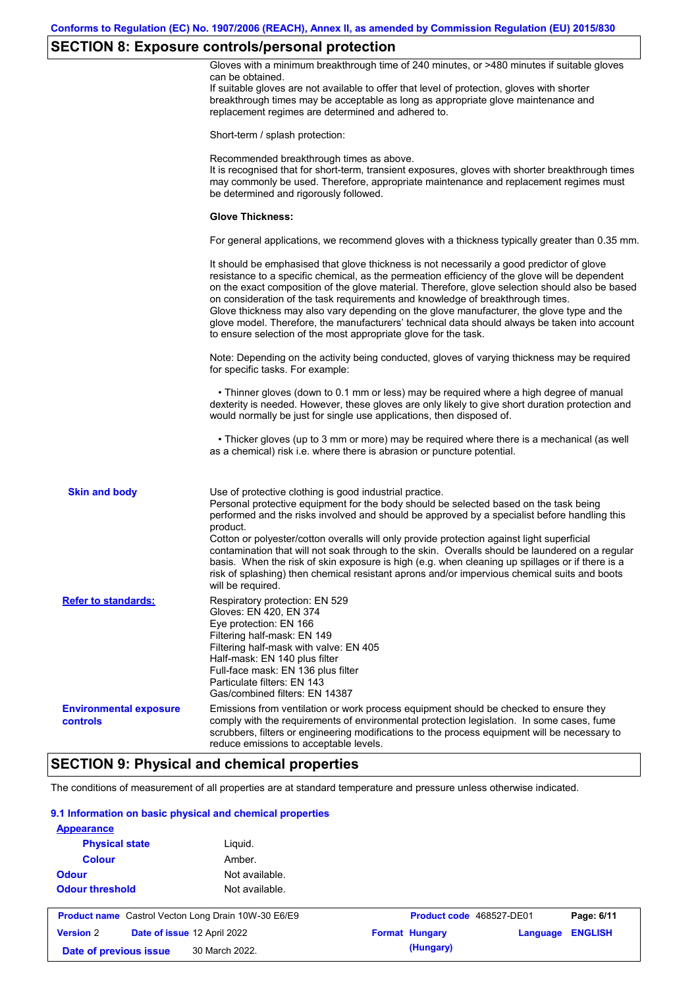# **SECTION 8: Exposure controls/personal protection**

| Short-term / splash protection:<br>Recommended breakthrough times as above.<br>It is recognised that for short-term, transient exposures, gloves with shorter breakthrough times<br>may commonly be used. Therefore, appropriate maintenance and replacement regimes must<br>be determined and rigorously followed.<br><b>Glove Thickness:</b><br>For general applications, we recommend gloves with a thickness typically greater than 0.35 mm.<br>It should be emphasised that glove thickness is not necessarily a good predictor of glove<br>resistance to a specific chemical, as the permeation efficiency of the glove will be dependent<br>on the exact composition of the glove material. Therefore, glove selection should also be based<br>on consideration of the task requirements and knowledge of breakthrough times.<br>Glove thickness may also vary depending on the glove manufacturer, the glove type and the<br>glove model. Therefore, the manufacturers' technical data should always be taken into account<br>to ensure selection of the most appropriate glove for the task.<br>Note: Depending on the activity being conducted, gloves of varying thickness may be required<br>for specific tasks. For example:<br>• Thinner gloves (down to 0.1 mm or less) may be required where a high degree of manual<br>dexterity is needed. However, these gloves are only likely to give short duration protection and<br>would normally be just for single use applications, then disposed of.<br>• Thicker gloves (up to 3 mm or more) may be required where there is a mechanical (as well<br>as a chemical) risk i.e. where there is abrasion or puncture potential.<br><b>Skin and body</b><br>Use of protective clothing is good industrial practice.<br>Personal protective equipment for the body should be selected based on the task being<br>performed and the risks involved and should be approved by a specialist before handling this<br>product.<br>Cotton or polyester/cotton overalls will only provide protection against light superficial<br>contamination that will not soak through to the skin. Overalls should be laundered on a regular<br>basis. When the risk of skin exposure is high (e.g. when cleaning up spillages or if there is a<br>risk of splashing) then chemical resistant aprons and/or impervious chemical suits and boots<br>will be required.<br><b>Refer to standards:</b><br>Respiratory protection: EN 529<br>Gloves: EN 420, EN 374<br>Eye protection: EN 166<br>Filtering half-mask: EN 149<br>Filtering half-mask with valve: EN 405<br>Half-mask: EN 140 plus filter<br>Full-face mask: EN 136 plus filter<br>Particulate filters: EN 143<br>Gas/combined filters: EN 14387<br>Emissions from ventilation or work process equipment should be checked to ensure they<br><b>Environmental exposure</b><br>comply with the requirements of environmental protection legislation. In some cases, fume<br>controls<br>scrubbers, filters or engineering modifications to the process equipment will be necessary to<br>reduce emissions to acceptable levels.<br><b>SECTION 9: Physical and chemical properties</b> | Gloves with a minimum breakthrough time of 240 minutes, or >480 minutes if suitable gloves<br>can be obtained.<br>If suitable gloves are not available to offer that level of protection, gloves with shorter<br>breakthrough times may be acceptable as long as appropriate glove maintenance and<br>replacement regimes are determined and adhered to. |
|--------------------------------------------------------------------------------------------------------------------------------------------------------------------------------------------------------------------------------------------------------------------------------------------------------------------------------------------------------------------------------------------------------------------------------------------------------------------------------------------------------------------------------------------------------------------------------------------------------------------------------------------------------------------------------------------------------------------------------------------------------------------------------------------------------------------------------------------------------------------------------------------------------------------------------------------------------------------------------------------------------------------------------------------------------------------------------------------------------------------------------------------------------------------------------------------------------------------------------------------------------------------------------------------------------------------------------------------------------------------------------------------------------------------------------------------------------------------------------------------------------------------------------------------------------------------------------------------------------------------------------------------------------------------------------------------------------------------------------------------------------------------------------------------------------------------------------------------------------------------------------------------------------------------------------------------------------------------------------------------------------------------------------------------------------------------------------------------------------------------------------------------------------------------------------------------------------------------------------------------------------------------------------------------------------------------------------------------------------------------------------------------------------------------------------------------------------------------------------------------------------------------------------------------------------------------------------------------------------------------------------------------------------------------------------------------------------------------------------------------------------------------------------------------------------------------------------------------------------------------------------------------------------------------------------------------------------------------------------------------------------------------------------------------------------------------------------------------------------------------------------------------------------------------------------------|----------------------------------------------------------------------------------------------------------------------------------------------------------------------------------------------------------------------------------------------------------------------------------------------------------------------------------------------------------|
|                                                                                                                                                                                                                                                                                                                                                                                                                                                                                                                                                                                                                                                                                                                                                                                                                                                                                                                                                                                                                                                                                                                                                                                                                                                                                                                                                                                                                                                                                                                                                                                                                                                                                                                                                                                                                                                                                                                                                                                                                                                                                                                                                                                                                                                                                                                                                                                                                                                                                                                                                                                                                                                                                                                                                                                                                                                                                                                                                                                                                                                                                                                                                                                      |                                                                                                                                                                                                                                                                                                                                                          |
|                                                                                                                                                                                                                                                                                                                                                                                                                                                                                                                                                                                                                                                                                                                                                                                                                                                                                                                                                                                                                                                                                                                                                                                                                                                                                                                                                                                                                                                                                                                                                                                                                                                                                                                                                                                                                                                                                                                                                                                                                                                                                                                                                                                                                                                                                                                                                                                                                                                                                                                                                                                                                                                                                                                                                                                                                                                                                                                                                                                                                                                                                                                                                                                      |                                                                                                                                                                                                                                                                                                                                                          |
|                                                                                                                                                                                                                                                                                                                                                                                                                                                                                                                                                                                                                                                                                                                                                                                                                                                                                                                                                                                                                                                                                                                                                                                                                                                                                                                                                                                                                                                                                                                                                                                                                                                                                                                                                                                                                                                                                                                                                                                                                                                                                                                                                                                                                                                                                                                                                                                                                                                                                                                                                                                                                                                                                                                                                                                                                                                                                                                                                                                                                                                                                                                                                                                      |                                                                                                                                                                                                                                                                                                                                                          |
|                                                                                                                                                                                                                                                                                                                                                                                                                                                                                                                                                                                                                                                                                                                                                                                                                                                                                                                                                                                                                                                                                                                                                                                                                                                                                                                                                                                                                                                                                                                                                                                                                                                                                                                                                                                                                                                                                                                                                                                                                                                                                                                                                                                                                                                                                                                                                                                                                                                                                                                                                                                                                                                                                                                                                                                                                                                                                                                                                                                                                                                                                                                                                                                      |                                                                                                                                                                                                                                                                                                                                                          |
|                                                                                                                                                                                                                                                                                                                                                                                                                                                                                                                                                                                                                                                                                                                                                                                                                                                                                                                                                                                                                                                                                                                                                                                                                                                                                                                                                                                                                                                                                                                                                                                                                                                                                                                                                                                                                                                                                                                                                                                                                                                                                                                                                                                                                                                                                                                                                                                                                                                                                                                                                                                                                                                                                                                                                                                                                                                                                                                                                                                                                                                                                                                                                                                      |                                                                                                                                                                                                                                                                                                                                                          |
|                                                                                                                                                                                                                                                                                                                                                                                                                                                                                                                                                                                                                                                                                                                                                                                                                                                                                                                                                                                                                                                                                                                                                                                                                                                                                                                                                                                                                                                                                                                                                                                                                                                                                                                                                                                                                                                                                                                                                                                                                                                                                                                                                                                                                                                                                                                                                                                                                                                                                                                                                                                                                                                                                                                                                                                                                                                                                                                                                                                                                                                                                                                                                                                      |                                                                                                                                                                                                                                                                                                                                                          |
|                                                                                                                                                                                                                                                                                                                                                                                                                                                                                                                                                                                                                                                                                                                                                                                                                                                                                                                                                                                                                                                                                                                                                                                                                                                                                                                                                                                                                                                                                                                                                                                                                                                                                                                                                                                                                                                                                                                                                                                                                                                                                                                                                                                                                                                                                                                                                                                                                                                                                                                                                                                                                                                                                                                                                                                                                                                                                                                                                                                                                                                                                                                                                                                      |                                                                                                                                                                                                                                                                                                                                                          |
|                                                                                                                                                                                                                                                                                                                                                                                                                                                                                                                                                                                                                                                                                                                                                                                                                                                                                                                                                                                                                                                                                                                                                                                                                                                                                                                                                                                                                                                                                                                                                                                                                                                                                                                                                                                                                                                                                                                                                                                                                                                                                                                                                                                                                                                                                                                                                                                                                                                                                                                                                                                                                                                                                                                                                                                                                                                                                                                                                                                                                                                                                                                                                                                      |                                                                                                                                                                                                                                                                                                                                                          |
|                                                                                                                                                                                                                                                                                                                                                                                                                                                                                                                                                                                                                                                                                                                                                                                                                                                                                                                                                                                                                                                                                                                                                                                                                                                                                                                                                                                                                                                                                                                                                                                                                                                                                                                                                                                                                                                                                                                                                                                                                                                                                                                                                                                                                                                                                                                                                                                                                                                                                                                                                                                                                                                                                                                                                                                                                                                                                                                                                                                                                                                                                                                                                                                      |                                                                                                                                                                                                                                                                                                                                                          |
|                                                                                                                                                                                                                                                                                                                                                                                                                                                                                                                                                                                                                                                                                                                                                                                                                                                                                                                                                                                                                                                                                                                                                                                                                                                                                                                                                                                                                                                                                                                                                                                                                                                                                                                                                                                                                                                                                                                                                                                                                                                                                                                                                                                                                                                                                                                                                                                                                                                                                                                                                                                                                                                                                                                                                                                                                                                                                                                                                                                                                                                                                                                                                                                      |                                                                                                                                                                                                                                                                                                                                                          |
|                                                                                                                                                                                                                                                                                                                                                                                                                                                                                                                                                                                                                                                                                                                                                                                                                                                                                                                                                                                                                                                                                                                                                                                                                                                                                                                                                                                                                                                                                                                                                                                                                                                                                                                                                                                                                                                                                                                                                                                                                                                                                                                                                                                                                                                                                                                                                                                                                                                                                                                                                                                                                                                                                                                                                                                                                                                                                                                                                                                                                                                                                                                                                                                      |                                                                                                                                                                                                                                                                                                                                                          |
|                                                                                                                                                                                                                                                                                                                                                                                                                                                                                                                                                                                                                                                                                                                                                                                                                                                                                                                                                                                                                                                                                                                                                                                                                                                                                                                                                                                                                                                                                                                                                                                                                                                                                                                                                                                                                                                                                                                                                                                                                                                                                                                                                                                                                                                                                                                                                                                                                                                                                                                                                                                                                                                                                                                                                                                                                                                                                                                                                                                                                                                                                                                                                                                      |                                                                                                                                                                                                                                                                                                                                                          |

The conditions of measurement of all properties are at standard temperature and pressure unless otherwise indicated.

### **9.1 Information on basic physical and chemical properties**

| <b>Physical state</b><br><b>Colour</b>                     | Liguid.<br>Amber. |                          |          |                |
|------------------------------------------------------------|-------------------|--------------------------|----------|----------------|
| <b>Odour</b>                                               | Not available.    |                          |          |                |
| <b>Odour threshold</b>                                     | Not available.    |                          |          |                |
|                                                            |                   |                          |          |                |
| <b>Product name</b> Castrol Vecton Long Drain 10W-30 E6/E9 |                   | Product code 468527-DE01 |          | Page: 6/11     |
| <b>Version 2</b><br>Date of issue 12 April 2022            |                   | <b>Format Hungary</b>    | Language | <b>ENGLISH</b> |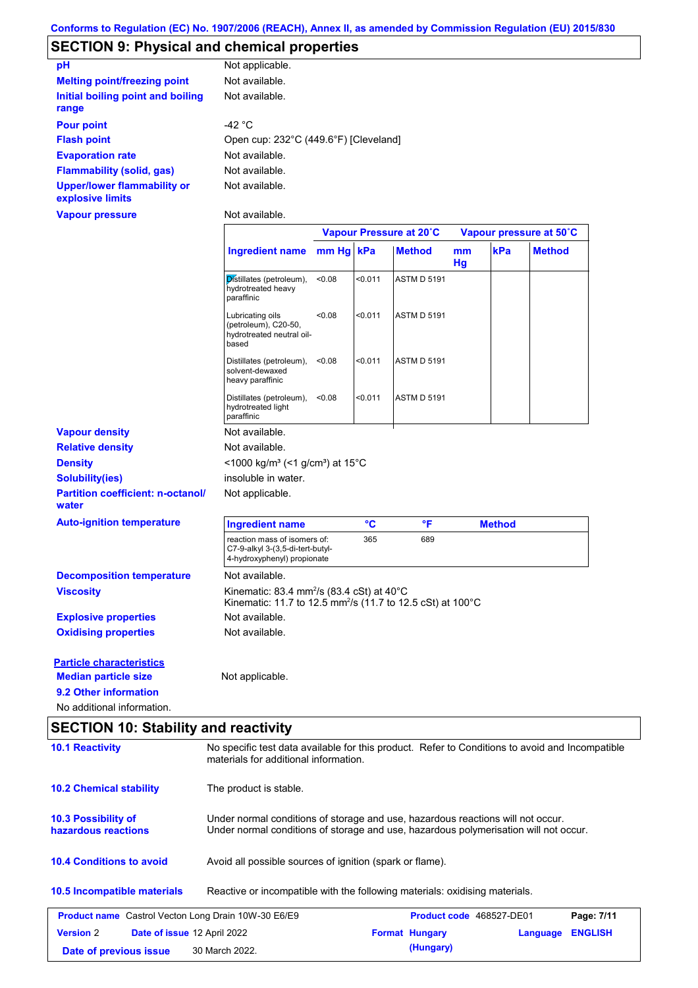# **SECTION 9: Physical and chemical properties**

| pH                                                     | Not applicable.                       |
|--------------------------------------------------------|---------------------------------------|
| <b>Melting point/freezing point</b>                    | Not available.                        |
| Initial boiling point and boiling<br>range             | Not available.                        |
| <b>Pour point</b>                                      | -42 $^{\circ}$ C                      |
| <b>Flash point</b>                                     | Open cup: 232°C (449.6°F) [Cleveland] |
| <b>Evaporation rate</b>                                | Not available.                        |
| <b>Flammability (solid, gas)</b>                       | Not available.                        |
| <b>Upper/lower flammability or</b><br>explosive limits | Not available.                        |

**Vapour pressure**

Not available.

|                                                                                | Vapour Pressure at 20°C |                                                                                                                             |                                                                                      | Vapour pressure at 50°C                                         |                                                                        |               |
|--------------------------------------------------------------------------------|-------------------------|-----------------------------------------------------------------------------------------------------------------------------|--------------------------------------------------------------------------------------|-----------------------------------------------------------------|------------------------------------------------------------------------|---------------|
|                                                                                |                         |                                                                                                                             | <b>Method</b>                                                                        | mm<br>Hg                                                        | kPa                                                                    | <b>Method</b> |
| Distillates (petroleum),<br>hydrotreated heavy<br>paraffinic                   | < 0.08                  | < 0.011                                                                                                                     | <b>ASTM D 5191</b>                                                                   |                                                                 |                                                                        |               |
| Lubricating oils<br>(petroleum), C20-50,<br>hydrotreated neutral oil-<br>based | < 0.08                  | < 0.011                                                                                                                     | <b>ASTM D 5191</b>                                                                   |                                                                 |                                                                        |               |
| Distillates (petroleum),<br>solvent-dewaxed<br>heavy paraffinic                | < 0.08                  | < 0.011                                                                                                                     | <b>ASTM D 5191</b>                                                                   |                                                                 |                                                                        |               |
| hydrotreated light<br>paraffinic                                               | < 0.08                  | < 0.011                                                                                                                     | <b>ASTM D 5191</b>                                                                   |                                                                 |                                                                        |               |
| Not available.                                                                 |                         |                                                                                                                             |                                                                                      |                                                                 |                                                                        |               |
| Not available.                                                                 |                         |                                                                                                                             |                                                                                      |                                                                 |                                                                        |               |
|                                                                                |                         |                                                                                                                             |                                                                                      |                                                                 |                                                                        |               |
| insoluble in water.                                                            |                         |                                                                                                                             |                                                                                      |                                                                 |                                                                        |               |
| Not applicable.                                                                |                         |                                                                                                                             |                                                                                      |                                                                 |                                                                        |               |
| <b>Ingredient name</b>                                                         |                         | °C                                                                                                                          | °F                                                                                   |                                                                 |                                                                        |               |
|                                                                                |                         | 365                                                                                                                         | 689                                                                                  |                                                                 |                                                                        |               |
| Not available.                                                                 |                         |                                                                                                                             |                                                                                      |                                                                 |                                                                        |               |
|                                                                                |                         |                                                                                                                             |                                                                                      |                                                                 |                                                                        |               |
| Not available.                                                                 |                         |                                                                                                                             |                                                                                      |                                                                 |                                                                        |               |
| Not available.                                                                 |                         |                                                                                                                             |                                                                                      |                                                                 |                                                                        |               |
|                                                                                |                         |                                                                                                                             |                                                                                      |                                                                 |                                                                        |               |
| Not applicable.                                                                |                         |                                                                                                                             |                                                                                      |                                                                 |                                                                        |               |
|                                                                                |                         |                                                                                                                             |                                                                                      |                                                                 |                                                                        |               |
|                                                                                |                         |                                                                                                                             |                                                                                      |                                                                 |                                                                        |               |
|                                                                                |                         | Distillates (petroleum),<br>reaction mass of isomers of:<br>C7-9-alkyl 3-(3,5-di-tert-butyl-<br>4-hydroxyphenyl) propionate | Ingredient name mm Hg kPa<br><1000 kg/m <sup>3</sup> (<1 g/cm <sup>3</sup> ) at 15°C | Kinematic: 83.4 mm <sup>2</sup> /s (83.4 cSt) at $40^{\circ}$ C | Kinematic: 11.7 to 12.5 mm <sup>2</sup> /s (11.7 to 12.5 cSt) at 100°C | <b>Method</b> |

# **SECTION 10: Stability and reactivity**

| <b>10.1 Reactivity</b>                                     | No specific test data available for this product. Refer to Conditions to avoid and Incompatible<br>materials for additional information.                                |                                                          |                                 |                |  |  |  |
|------------------------------------------------------------|-------------------------------------------------------------------------------------------------------------------------------------------------------------------------|----------------------------------------------------------|---------------------------------|----------------|--|--|--|
| <b>10.2 Chemical stability</b>                             | The product is stable.                                                                                                                                                  |                                                          |                                 |                |  |  |  |
| <b>10.3 Possibility of</b><br>hazardous reactions          | Under normal conditions of storage and use, hazardous reactions will not occur.<br>Under normal conditions of storage and use, hazardous polymerisation will not occur. |                                                          |                                 |                |  |  |  |
| <b>10.4 Conditions to avoid</b>                            |                                                                                                                                                                         | Avoid all possible sources of ignition (spark or flame). |                                 |                |  |  |  |
| 10.5 Incompatible materials                                | Reactive or incompatible with the following materials: oxidising materials.                                                                                             |                                                          |                                 |                |  |  |  |
| <b>Product name</b> Castrol Vecton Long Drain 10W-30 E6/E9 |                                                                                                                                                                         |                                                          | <b>Product code</b> 468527-DE01 | Page: 7/11     |  |  |  |
| <b>Version 2</b><br>Date of issue 12 April 2022            |                                                                                                                                                                         | <b>Format Hungary</b>                                    | Language                        | <b>ENGLISH</b> |  |  |  |
| Date of previous issue                                     | 30 March 2022.                                                                                                                                                          | (Hungary)                                                |                                 |                |  |  |  |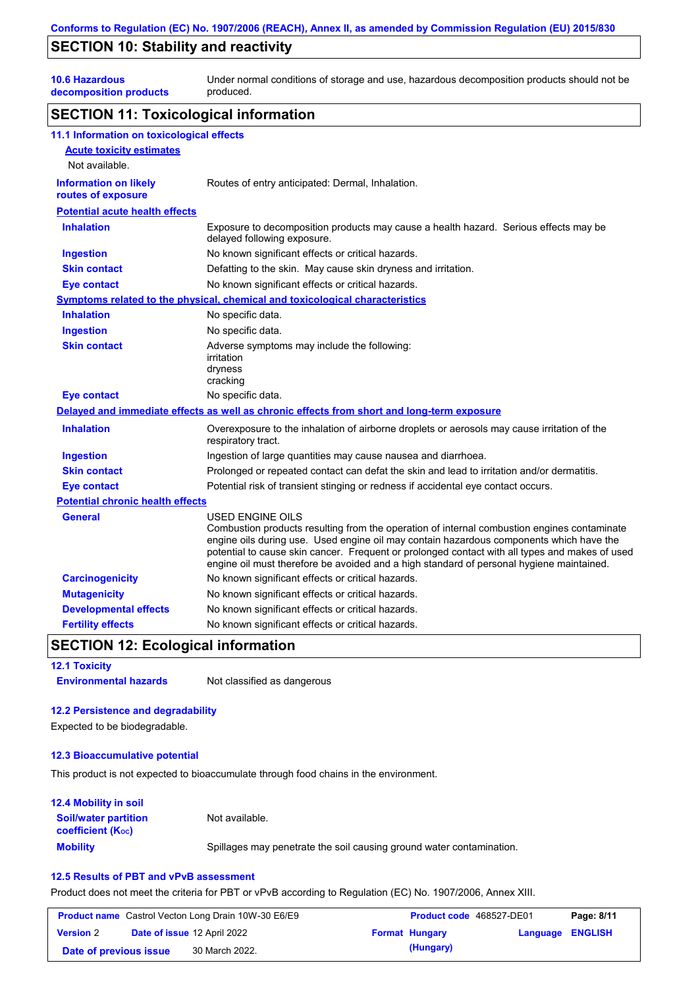# **SECTION 10: Stability and reactivity**

**10.6 Hazardous** 

**decomposition products** Under normal conditions of storage and use, hazardous decomposition products should not be produced.

### **SECTION 11: Toxicological information**

| 11.1 Information on toxicological effects          |                                                                                                                                                                                                                                                                                                                                                                                                                 |
|----------------------------------------------------|-----------------------------------------------------------------------------------------------------------------------------------------------------------------------------------------------------------------------------------------------------------------------------------------------------------------------------------------------------------------------------------------------------------------|
| <b>Acute toxicity estimates</b>                    |                                                                                                                                                                                                                                                                                                                                                                                                                 |
| Not available.                                     |                                                                                                                                                                                                                                                                                                                                                                                                                 |
| <b>Information on likely</b><br>routes of exposure | Routes of entry anticipated: Dermal, Inhalation.                                                                                                                                                                                                                                                                                                                                                                |
| <b>Potential acute health effects</b>              |                                                                                                                                                                                                                                                                                                                                                                                                                 |
| <b>Inhalation</b>                                  | Exposure to decomposition products may cause a health hazard. Serious effects may be<br>delayed following exposure.                                                                                                                                                                                                                                                                                             |
| <b>Ingestion</b>                                   | No known significant effects or critical hazards.                                                                                                                                                                                                                                                                                                                                                               |
| <b>Skin contact</b>                                | Defatting to the skin. May cause skin dryness and irritation.                                                                                                                                                                                                                                                                                                                                                   |
| <b>Eye contact</b>                                 | No known significant effects or critical hazards.                                                                                                                                                                                                                                                                                                                                                               |
|                                                    | <b>Symptoms related to the physical, chemical and toxicological characteristics</b>                                                                                                                                                                                                                                                                                                                             |
| <b>Inhalation</b>                                  | No specific data.                                                                                                                                                                                                                                                                                                                                                                                               |
| <b>Ingestion</b>                                   | No specific data.                                                                                                                                                                                                                                                                                                                                                                                               |
| <b>Skin contact</b>                                | Adverse symptoms may include the following:<br>irritation<br>dryness<br>cracking                                                                                                                                                                                                                                                                                                                                |
| <b>Eye contact</b>                                 | No specific data.                                                                                                                                                                                                                                                                                                                                                                                               |
|                                                    | Delayed and immediate effects as well as chronic effects from short and long-term exposure                                                                                                                                                                                                                                                                                                                      |
| <b>Inhalation</b>                                  | Overexposure to the inhalation of airborne droplets or aerosols may cause irritation of the<br>respiratory tract.                                                                                                                                                                                                                                                                                               |
| <b>Ingestion</b>                                   | Ingestion of large quantities may cause nausea and diarrhoea.                                                                                                                                                                                                                                                                                                                                                   |
| <b>Skin contact</b>                                | Prolonged or repeated contact can defat the skin and lead to irritation and/or dermatitis.                                                                                                                                                                                                                                                                                                                      |
| <b>Eye contact</b>                                 | Potential risk of transient stinging or redness if accidental eye contact occurs.                                                                                                                                                                                                                                                                                                                               |
| <b>Potential chronic health effects</b>            |                                                                                                                                                                                                                                                                                                                                                                                                                 |
| General                                            | <b>USED ENGINE OILS</b><br>Combustion products resulting from the operation of internal combustion engines contaminate<br>engine oils during use. Used engine oil may contain hazardous components which have the<br>potential to cause skin cancer. Frequent or prolonged contact with all types and makes of used<br>engine oil must therefore be avoided and a high standard of personal hygiene maintained. |
| <b>Carcinogenicity</b>                             | No known significant effects or critical hazards.                                                                                                                                                                                                                                                                                                                                                               |
| <b>Mutagenicity</b>                                | No known significant effects or critical hazards.                                                                                                                                                                                                                                                                                                                                                               |
| <b>Developmental effects</b>                       | No known significant effects or critical hazards.                                                                                                                                                                                                                                                                                                                                                               |
| <b>Fertility effects</b>                           | No known significant effects or critical hazards.                                                                                                                                                                                                                                                                                                                                                               |

## **SECTION 12: Ecological information**

**12.1 Toxicity**

**Environmental hazards** Not classified as dangerous

#### **12.2 Persistence and degradability**

Expected to be biodegradable.

#### **12.3 Bioaccumulative potential**

This product is not expected to bioaccumulate through food chains in the environment.

#### **Mobility** Spillages may penetrate the soil causing ground water contamination. **12.4 Mobility in soil Soil/water partition coefficient (KOC)** Not available.

## **12.5 Results of PBT and vPvB assessment**

Product does not meet the criteria for PBT or vPvB according to Regulation (EC) No. 1907/2006, Annex XIII.

|                        | <b>Product name</b> Castrol Vecton Long Drain 10W-30 E6/E9 | <b>Product code</b> 468527-DE01 |                         | Page: 8/11 |
|------------------------|------------------------------------------------------------|---------------------------------|-------------------------|------------|
| <b>Version 2</b>       | <b>Date of issue 12 April 2022</b>                         | <b>Format Hungary</b>           | <b>Language ENGLISH</b> |            |
| Date of previous issue | 30 March 2022.                                             | (Hungary)                       |                         |            |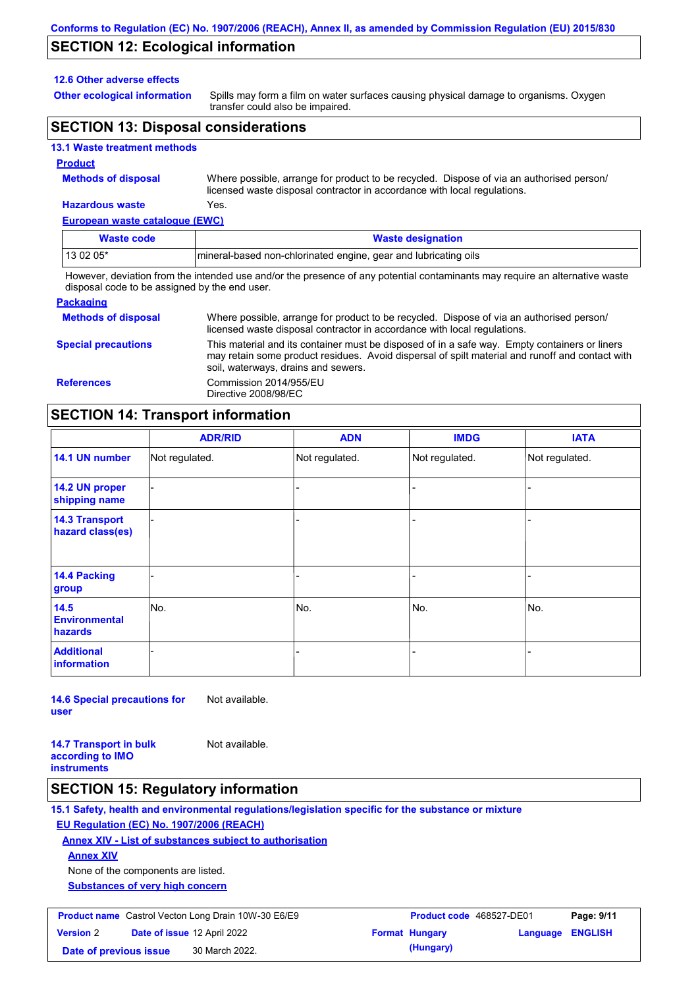## **SECTION 12: Ecological information**

#### **12.6 Other adverse effects**

**Other ecological information**

Spills may form a film on water surfaces causing physical damage to organisms. Oxygen transfer could also be impaired.

## **SECTION 13: Disposal considerations**

#### **13.1 Waste treatment methods**

#### **Product**

**Methods of disposal**

Where possible, arrange for product to be recycled. Dispose of via an authorised person/ licensed waste disposal contractor in accordance with local regulations.

## **Hazardous waste** Yes.

| European waste catalogue (EWC)                                                                                              |                                                                  |  |  |  |  |
|-----------------------------------------------------------------------------------------------------------------------------|------------------------------------------------------------------|--|--|--|--|
| <b>Waste code</b>                                                                                                           | <b>Waste designation</b>                                         |  |  |  |  |
| 13 02 05*                                                                                                                   | Imineral-based non-chlorinated engine, gear and lubricating oils |  |  |  |  |
| However, deviation from the intended use and/or the presence of any potential contaminants may require an alternative waste |                                                                  |  |  |  |  |

the presence of any potential contaminants may require an alternative waste disposal code to be assigned by the end user.

| <b>Packaging</b>           |                                                                                                                                                                                                                                         |
|----------------------------|-----------------------------------------------------------------------------------------------------------------------------------------------------------------------------------------------------------------------------------------|
| <b>Methods of disposal</b> | Where possible, arrange for product to be recycled. Dispose of via an authorised person/<br>licensed waste disposal contractor in accordance with local regulations.                                                                    |
| <b>Special precautions</b> | This material and its container must be disposed of in a safe way. Empty containers or liners<br>may retain some product residues. Avoid dispersal of spilt material and runoff and contact with<br>soil, waterways, drains and sewers. |
| <b>References</b>          | Commission 2014/955/EU<br>Directive 2008/98/EC                                                                                                                                                                                          |

## **SECTION 14: Transport information**

|                                           | <b>ADR/RID</b> | <b>ADN</b>     | <b>IMDG</b>    | <b>IATA</b>    |  |  |
|-------------------------------------------|----------------|----------------|----------------|----------------|--|--|
| 14.1 UN number                            | Not regulated. | Not regulated. | Not regulated. | Not regulated. |  |  |
| 14.2 UN proper<br>shipping name           |                |                |                |                |  |  |
| <b>14.3 Transport</b><br>hazard class(es) |                |                |                |                |  |  |
| 14.4 Packing<br>group                     |                |                |                |                |  |  |
| 14.5<br><b>Environmental</b><br>hazards   | No.            | No.            | No.            | No.            |  |  |
| <b>Additional</b><br><b>information</b>   |                |                |                |                |  |  |

**14.6 Special precautions for user** Not available.

**14.7 Transport in bulk according to IMO instruments**

### **SECTION 15: Regulatory information**

**15.1 Safety, health and environmental regulations/legislation specific for the substance or mixture**

## **EU Regulation (EC) No. 1907/2006 (REACH)**

**Annex XIV - List of substances subject to authorisation**

Not available.

**Annex XIV**

None of the components are listed.

**Substances of very high concern**

| <b>Product name</b> Castrol Vecton Long Drain 10W-30 E6/E9 |  |                                    | <b>Product code</b> 468527-DE01 | Page: 9/11            |                         |  |
|------------------------------------------------------------|--|------------------------------------|---------------------------------|-----------------------|-------------------------|--|
| <b>Version 2</b>                                           |  | <b>Date of issue 12 April 2022</b> |                                 | <b>Format Hungary</b> | <b>Language ENGLISH</b> |  |
| Date of previous issue                                     |  | 30 March 2022.                     |                                 | (Hungary)             |                         |  |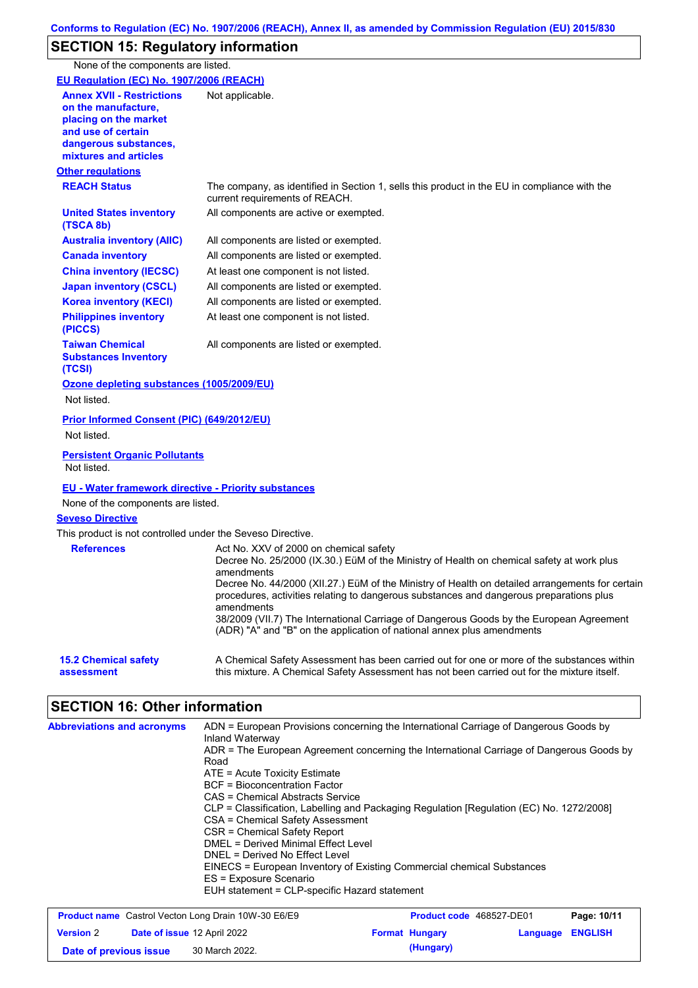# **SECTION 15: Regulatory information**

None of the components are listed.

| EU Regulation (EC) No. 1907/2006 (REACH)                                                                                                                 |                                                                                                                                                                                                                                                                                                                                                                                                                                                                                                                                    |
|----------------------------------------------------------------------------------------------------------------------------------------------------------|------------------------------------------------------------------------------------------------------------------------------------------------------------------------------------------------------------------------------------------------------------------------------------------------------------------------------------------------------------------------------------------------------------------------------------------------------------------------------------------------------------------------------------|
| <b>Annex XVII - Restrictions</b><br>on the manufacture.<br>placing on the market<br>and use of certain<br>dangerous substances,<br>mixtures and articles | Not applicable.                                                                                                                                                                                                                                                                                                                                                                                                                                                                                                                    |
| <b>Other regulations</b>                                                                                                                                 |                                                                                                                                                                                                                                                                                                                                                                                                                                                                                                                                    |
| <b>REACH Status</b>                                                                                                                                      | The company, as identified in Section 1, sells this product in the EU in compliance with the<br>current requirements of REACH.                                                                                                                                                                                                                                                                                                                                                                                                     |
| <b>United States inventory</b><br>(TSCA 8b)                                                                                                              | All components are active or exempted.                                                                                                                                                                                                                                                                                                                                                                                                                                                                                             |
| <b>Australia inventory (AIIC)</b>                                                                                                                        | All components are listed or exempted.                                                                                                                                                                                                                                                                                                                                                                                                                                                                                             |
| <b>Canada inventory</b>                                                                                                                                  | All components are listed or exempted.                                                                                                                                                                                                                                                                                                                                                                                                                                                                                             |
| <b>China inventory (IECSC)</b>                                                                                                                           | At least one component is not listed.                                                                                                                                                                                                                                                                                                                                                                                                                                                                                              |
| <b>Japan inventory (CSCL)</b>                                                                                                                            | All components are listed or exempted.                                                                                                                                                                                                                                                                                                                                                                                                                                                                                             |
| <b>Korea inventory (KECI)</b>                                                                                                                            | All components are listed or exempted.                                                                                                                                                                                                                                                                                                                                                                                                                                                                                             |
| <b>Philippines inventory</b><br>(PICCS)                                                                                                                  | At least one component is not listed.                                                                                                                                                                                                                                                                                                                                                                                                                                                                                              |
| <b>Taiwan Chemical</b><br><b>Substances Inventory</b><br>(TCSI)                                                                                          | All components are listed or exempted.                                                                                                                                                                                                                                                                                                                                                                                                                                                                                             |
| Ozone depleting substances (1005/2009/EU)                                                                                                                |                                                                                                                                                                                                                                                                                                                                                                                                                                                                                                                                    |
| Not listed.                                                                                                                                              |                                                                                                                                                                                                                                                                                                                                                                                                                                                                                                                                    |
| Prior Informed Consent (PIC) (649/2012/EU)<br>Not listed.                                                                                                |                                                                                                                                                                                                                                                                                                                                                                                                                                                                                                                                    |
| <b>Persistent Organic Pollutants</b><br>Not listed.                                                                                                      |                                                                                                                                                                                                                                                                                                                                                                                                                                                                                                                                    |
| <b>EU - Water framework directive - Priority substances</b><br>None of the components are listed.                                                        |                                                                                                                                                                                                                                                                                                                                                                                                                                                                                                                                    |
| <b>Seveso Directive</b>                                                                                                                                  |                                                                                                                                                                                                                                                                                                                                                                                                                                                                                                                                    |
| This product is not controlled under the Seveso Directive.                                                                                               |                                                                                                                                                                                                                                                                                                                                                                                                                                                                                                                                    |
| <b>References</b>                                                                                                                                        | Act No. XXV of 2000 on chemical safety<br>Decree No. 25/2000 (IX.30.) EüM of the Ministry of Health on chemical safety at work plus<br>amendments<br>Decree No. 44/2000 (XII.27.) EüM of the Ministry of Health on detailed arrangements for certain<br>procedures, activities relating to dangerous substances and dangerous preparations plus<br>amendments<br>38/2009 (VII.7) The International Carriage of Dangerous Goods by the European Agreement<br>(ADR) "A" and "B" on the application of national annex plus amendments |
| <b>15.2 Chemical safety</b><br>assessment                                                                                                                | A Chemical Safety Assessment has been carried out for one or more of the substances within<br>this mixture. A Chemical Safety Assessment has not been carried out for the mixture itself.                                                                                                                                                                                                                                                                                                                                          |
| <b>SECTION 16: Other information</b>                                                                                                                     |                                                                                                                                                                                                                                                                                                                                                                                                                                                                                                                                    |
| <b>Abbreviations and acronyms</b>                                                                                                                        | ADN = European Provisions concerning the International Carriage of Dangerous Goods by<br>Inland Waterway<br>ADR = The European Agreement concerning the International Carriage of Dangerous Goods by<br>Road<br>ATE = Acute Toxicity Estimate<br><b>BCF</b> = Bioconcentration Factor<br>$0.00 - 0.05$ and $0.000$                                                                                                                                                                                                                 |

- CAS = Chemical Abstracts Service
- CLP = Classification, Labelling and Packaging Regulation [Regulation (EC) No. 1272/2008]
- CSA = Chemical Safety Assessment
- CSR = Chemical Safety Report
- DMEL = Derived Minimal Effect Level DNEL = Derived No Effect Level
- EINECS = European Inventory of Existing Commercial chemical Substances
- ES = Exposure Scenario
- EUH statement = CLP-specific Hazard statement

| <b>Product name</b> Castrol Vecton Long Drain 10W-30 E6/E9 |  |                             | <b>Product code</b> 468527-DE01 | Page: 10/11           |                         |  |
|------------------------------------------------------------|--|-----------------------------|---------------------------------|-----------------------|-------------------------|--|
| <b>Version 2</b>                                           |  | Date of issue 12 April 2022 |                                 | <b>Format Hungary</b> | <b>Language ENGLISH</b> |  |
| Date of previous issue                                     |  | 30 March 2022.              |                                 | (Hungary)             |                         |  |